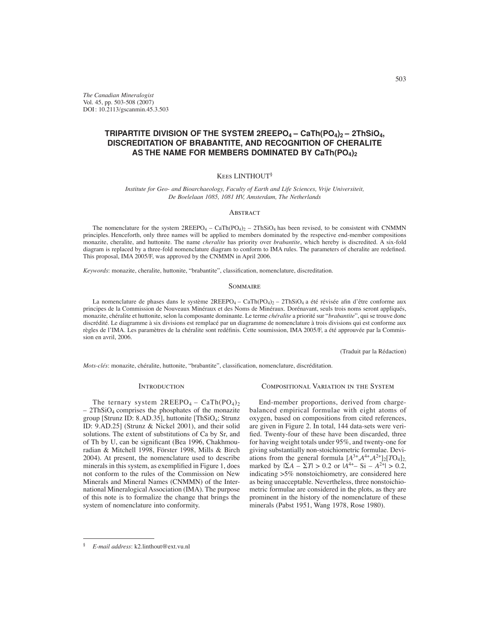*The Canadian Mineralogist* Vol. 45, pp. 503-508 (2007) DOI : 10.2113/gscanmin.45.3.503

# **TRIPARTITE DIVISION OF THE SYSTEM 2REEPO4 – CaTh(PO4)2 – 2ThSiO4, DISCREDITATION OF BRABANTITE, AND RECOGNITION OF CHERALITE**  AS THE NAME FOR MEMBERS DOMINATED BY CaTh(PO<sub>4</sub>)<sub>2</sub>

# Kees LINTHOUT§

*Institute for Geo- and Bioarchaeology, Faculty of Earth and Life Sciences, Vrije Universiteit, De Boelelaan 1085, 1081 HV, Amsterdam, The Netherlands*

# **ABSTRACT**

The nomenclature for the system  $2REEPO_4 - CaTh(PO_4)_2 - 2ThSiO_4$  has been revised, to be consistent with CNMMN principles. Henceforth, only three names will be applied to members dominated by the respective end-member compositions monazite, cheralite, and huttonite. The name *cheralite* has priority over *brabantite*, which hereby is discredited. A six-fold diagram is replaced by a three-fold nomenclature diagram to conform to IMA rules. The parameters of cheralite are redefined. This proposal, IMA 2005/F, was approved by the CNMMN in April 2006.

Keywords: monazite, cheralite, huttonite, "brabantite", classification, nomenclature, discreditation.

#### **SOMMAIRE**

La nomenclature de phases dans le système  $2REEPO_4 - CaTh(PO_4)_2 - 2ThSiO_4$  a été révisée afin d'être conforme aux principes de la Commission de Nouveaux Minéraux et des Noms de Minéraux. Dorénavant, seuls trois noms seront appliqués, monazite, chéralite et huttonite, selon la composante dominante. Le terme *chéralite* a priorité sur "*brabantite*", qui se trouve donc discrédité. Le diagramme à six divisions est remplacé par un diagramme de nomenclature à trois divisions qui est conforme aux règles de l'IMA. Les paramètres de la chéralite sont redéfinis. Cette soumission, IMA 2005/F, a été approuvée par la Commission en avril, 2006.

(Traduit par la Rédaction)

*Mots-clés*: monazite, chéralite, huttonite, "brabantite", classification, nomenclature, discréditation.

#### **INTRODUCTION**

The ternary system  $2REEPO_4 - CaTh(PO_4)_2$  $-2ThSiO<sub>4</sub> comprises the phosphates of the monazite$ group [Strunz ID: 8.AD.35], huttonite [ThSiO4; Strunz ID: 9.AD.25] (Strunz & Nickel 2001), and their solid solutions. The extent of substitutions of Ca by Sr, and of Th by U, can be significant (Bea 1996, Chakhmouradian & Mitchell 1998, Förster 1998, Mills & Birch 2004). At present, the nomenclature used to describe minerals in this system, as exemplified in Figure 1, does not conform to the rules of the Commission on New Minerals and Mineral Names (CNMMN) of the International Mineralogical Association (IMA). The purpose of this note is to formalize the change that brings the system of nomenclature into conformity.

#### Compositional Variation in the System

End-member proportions, derived from chargebalanced empirical formulae with eight atoms of oxygen, based on compositions from cited references, are given in Figure 2. In total, 144 data-sets were verified. Twenty-four of these have been discarded, three for having weight totals under 95%, and twenty-one for giving substantially non-stoichiometric formulae. Deviations from the general formula  $[A^{3+},A^{4+},A^{2+}]_2[TO_4]_2$ , marked by  $|\Sigma A - \Sigma T| > 0.2$  or  $|A^{4+} - \Sigma I| > 0.2$ , indicating >5% nonstoichiometry, are considered here as being unacceptable. Nevertheless, three nonstoichiometric formulae are considered in the plots, as they are prominent in the history of the nomenclature of these minerals (Pabst 1951, Wang 1978, Rose 1980).

<sup>§</sup> *E-mail address*: k2.linthout@ext.vu.nl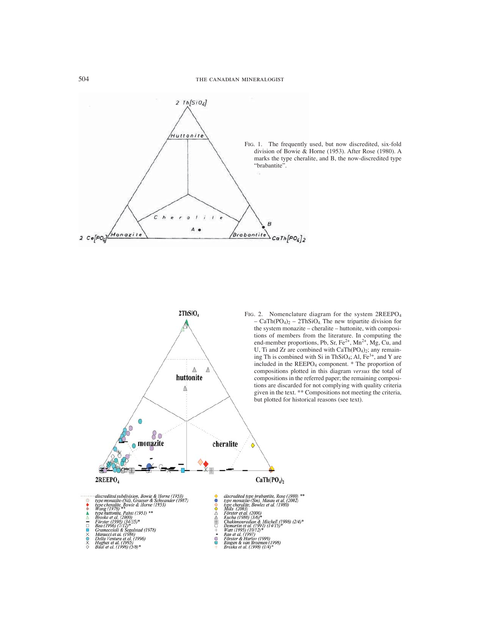

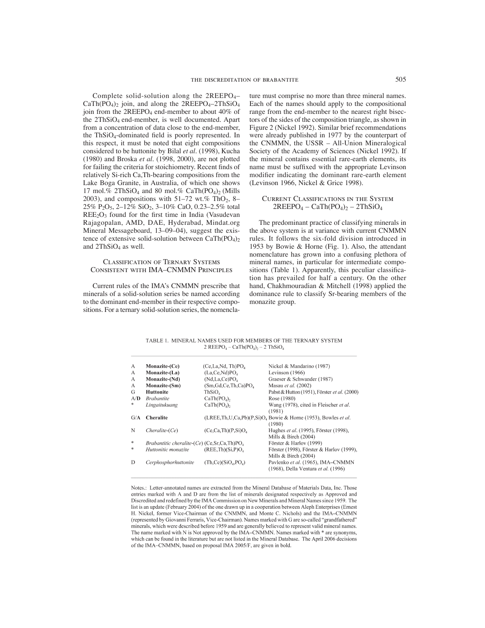Complete solid-solution along the 2REEPO4–  $CaTh(PO<sub>4</sub>)<sub>2</sub>$  join, and along the  $2REEPO<sub>4</sub>-2ThSiO<sub>4</sub>$ join from the  $2REEPO<sub>4</sub>$  end-member to about 40% of the 2ThSiO4 end-member, is well documented. Apart from a concentration of data close to the end-member, the  $ThSiO<sub>4</sub>$ -dominated field is poorly represented. In this respect, it must be noted that eight compositions considered to be huttonite by Bilal *et al*. (1998), Kucha (1980) and Broska *et al.* (1998, 2000), are not plotted for failing the criteria for stoichiometry. Recent finds of relatively Si-rich Ca,Th-bearing compositions from the Lake Boga Granite, in Australia, of which one shows 17 mol.% 2ThSiO<sub>4</sub> and 80 mol.% CaTh(PO<sub>4</sub>)<sub>2</sub> (Mills 2003), and compositions with  $51-72$  wt.% ThO<sub>2</sub>, 8– 25% P<sub>2</sub>O<sub>5</sub>, 2–12% SiO<sub>2</sub>, 3–10% CaO, 0.23–2.5% total  $REE<sub>2</sub>O<sub>3</sub>$  found for the first time in India (Vasudevan Rajagopalan, AMD, DAE, Hyderabad, Mindat.org Mineral Messageboard, 13–09–04), suggest the existence of extensive solid-solution between  $CaTh(PO<sub>4</sub>)<sub>2</sub>$ and  $2ThSiO<sub>4</sub>$  as well.

# Classification of Ternary Systems Consistent with IMA–CNMMN Principles

Current rules of the IMA's CNMMN prescribe that minerals of a solid-solution series be named according to the dominant end-member in their respective compositions. For a ternary solid-solution series, the nomenclature must comprise no more than three mineral names. Each of the names should apply to the compositional range from the end-member to the nearest right bisectors of the sides of the composition triangle, as shown in Figure 2 (Nickel 1992). Similar brief recommendations were already published in 1977 by the counterpart of the CNMMN, the USSR – All-Union Mineralogical Society of the Academy of Sciences (Nickel 1992). If the mineral contains essential rare-earth elements, its name must be suffixed with the appropriate Levinson modifier indicating the dominant rare-earth element (Levinson 1966, Nickel & Grice 1998).

# Current Classifications in the System  $2REEPO_4 - CaTh(PO_4)_2 - 2ThSiO_4$

The predominant practice of classifying minerals in the above system is at variance with current CNMMN rules. It follows the six-fold division introduced in 1953 by Bowie & Horne (Fig. 1). Also, the attendant nomenclature has grown into a confusing plethora of mineral names, in particular for intermediate compositions (Table 1). Apparently, this peculiar classification has prevailed for half a century. On the other hand, Chakhmouradian & Mitchell (1998) applied the dominance rule to classify Sr-bearing members of the monazite group.

TABLE 1. MINERAL NAMES USED FOR MEMBERS OF THE TERNARY SYSTEM 2 REEPO<sub>4</sub> - CaTh(PO<sub>4</sub>), - 2 ThSiO<sub>4</sub>

| А      | Monazite-(Ce)                                              | (Ce,La,Nd, Th)PO <sub>a</sub>       | Nickel & Mandarino (1987)                                              |  |  |
|--------|------------------------------------------------------------|-------------------------------------|------------------------------------------------------------------------|--|--|
| А      | Monazite-(La)                                              | (La.Ce.Nd)PO.                       | Levinson (1966)                                                        |  |  |
| A      | Monazite-(Nd)                                              | (Nd,La,Ce)PO.                       | Graeser & Schwander (1987)                                             |  |  |
| A      | Monazite-(Sm)                                              | (Sm, Gd, Ce, Th, Ca)PO <sub>4</sub> | Masau et al. (2002)                                                    |  |  |
| G      | <b>Huttonite</b>                                           | ThSiO.                              | Pabst & Hutton (1951), Förster et al. (2000)                           |  |  |
| A/D    | <i>Brabantite</i>                                          | $CaTh(PO4)$ ,                       | Rose (1980)                                                            |  |  |
| *      | Lingaitukuang                                              | $CaTh(PO4)$ ,                       | Wang (1978), cited in Fleischer et al.                                 |  |  |
|        |                                                            |                                     | (1981)                                                                 |  |  |
| G/A    | Cheralite                                                  |                                     | $(LREE, Th, U, Ca, Pb) (P, Si) O4 Bowie & Horne (1953), Bowles et al.$ |  |  |
|        |                                                            |                                     | (1980)                                                                 |  |  |
| N      | $Cheralite$ $(Ce)$                                         | (Ce, Ca, Th)(P, Si)O <sub>4</sub>   | Hughes et al. (1995), Förster (1998),                                  |  |  |
|        |                                                            |                                     | Mills & Birch (2004)                                                   |  |  |
| $\ast$ | Brabantitic cheralite-(Ce) (Ce, Sr, Ca, Th)PO <sub>4</sub> |                                     | Förster & Harlov (1999)                                                |  |  |
| $\ast$ | Huttonitic monazite                                        | (REE, Th)(Si, P)O <sub>4</sub>      | Förster (1998), Förster & Harlov (1999),                               |  |  |
|        |                                                            |                                     | Mills & Birch (2004)                                                   |  |  |
| D      | Cerphosphorhuttonite                                       | $(Th, Ce)(SiO4, PO4)$               | Pavlenko et al. (1965), IMA-CNMMN                                      |  |  |
|        |                                                            |                                     | (1968), Della Ventura et al. (1996)                                    |  |  |

Notes.: Letter-annotated names are extracted from the Mineral Database of Materials Data, Inc. Those entries marked with A and D are from the list of minerals designated respectively as Approved and Discredited and redefined by the IMA Commission on New Minerals and Mineral Names since 1959. The list is an update (February 2004) of the one drawn up in a cooperation between Aleph Enterprises (Ernest H. Nickel, former Vice-Chairman of the CNMMN, and Monte C. Nichols) and the IMA-CNMMN (represented by Giovanni Ferraris, Vice-Chairman). Names marked with G are so-called "grandfathered" minerals, which were described before 1959 and are generally believed to represent valid mineral names. The name marked with N is Not approved by the IMA-CNMMN. Names marked with \* are synonyms. which can be found in the literature but are not listed in the Mineral Database. The April 2006 decisions of the IMA-CNMMN, based on proposal IMA 2005/F, are given in bold.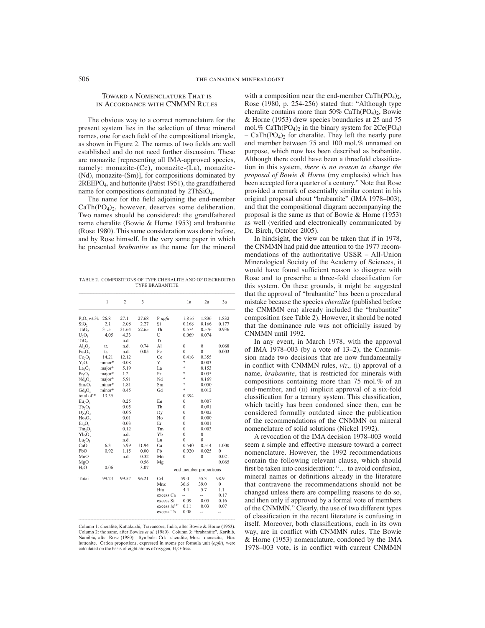### Toward a Nomenclature That is in Accordance with CNMMN Rules

The obvious way to a correct nomenclature for the present system lies in the selection of three mineral names, one for each field of the compositional triangle, as shown in Figure 2. The names of two fields are well established and do not need further discussion. These are monazite [representing all IMA-approved species, namely: monazite-(Ce), monazite-(La), monazite- (Nd), monazite-(Sm)], for compositions dominated by 2REEPO4, and huttonite (Pabst 1951), the grandfathered name for compositions dominated by 2ThSiO4.

The name for the field adjoining the end-member  $CaTh(PO<sub>4</sub>)<sub>2</sub>$ , however, deserves some deliberation. Two names should be considered: the grandfathered name cheralite (Bowie & Horne 1953) and brabantite (Rose 1980). This same consideration was done before, and by Rose himself. In the very same paper in which he presented *brabantite* as the name for the mineral

TABLE 2. COMPOSITIONS OF TYPE CHERALITE AND OF DISCREDITED **TYPE BRABANTITE** 

|                                | 1      | $\overline{c}$ | 3     |                        | la           | 2a               | 3a               |
|--------------------------------|--------|----------------|-------|------------------------|--------------|------------------|------------------|
| $P_2O_5$ wt.%                  | 26.8   | 27.1           | 27.68 | P apfu                 | 1.816        | 1.836            | 1.832            |
| SiO,                           | 2.1    | 2.08           | 2.27  | Si                     | 0.168        | 0.166            | 0.177            |
| ThO,                           | 31.5   | 31.64          | 52.65 | Th                     | 0.574        | 0.576            | 0.936            |
| $U_3O_8$                       | 4.05   | 4.33           |       | U                      | 0.069        | 0.074            |                  |
| TiO <sub>2</sub>               |        | n.d.           |       | Ti                     |              |                  |                  |
| AI <sub>2</sub> O <sub>3</sub> | tr.    | n.d.           | 0.74  | Al                     | $\mathbf{0}$ | $\boldsymbol{0}$ | 0.068            |
| Fe, O,                         | tr.    | n.d.           | 0.05  | Fe                     | $\mathbf{0}$ | $\overline{0}$   | 0.003            |
| Ce <sub>2</sub> O <sub>3</sub> | 14.21  | 12.12          |       | Ce                     | 0.416        | 0.355            |                  |
| $Y_2O_3$                       | minor* | 0.08           |       | Y                      | ģ.           | 0.003            |                  |
| $La_2O_3$                      | major* | 5.19           |       | La                     | *            | 0.153            |                  |
| $Pr_2O_3$                      | major* | 1.2            |       | Pr                     | ÷            | 0.035            |                  |
| Nd, O,                         | major* | 5.91           |       | Nd                     | *            | 0.169            |                  |
| $Sm_2O_3$                      | minor* | 1.81           |       | Sm                     | ×.           | 0.050            |                  |
| $Gd, O_3$                      | minor* | 0.45           |       | Gd                     | \$           | 0.012            |                  |
| total of*<br>13.35             |        |                |       |                        | 0.394        |                  |                  |
| Eu,O,                          |        | 0.25           |       | Eu                     | 0            | 0.007            |                  |
| $Tb_2O_3$                      |        | 0.05           |       | Tb                     | $\mathbf{0}$ | 0.001            |                  |
| Dy, O <sub>3</sub>             |        | 0.06           |       | Dy                     | $\theta$     | 0.002            |                  |
| $Ho, O_3$                      |        | 0.01           |       | Ho                     | $\theta$     | 0.000            |                  |
| Er,O,                          |        | 0.03           |       | Er                     | $\theta$     | 0.001            |                  |
| Tm, O,                         |        | 0.12           |       | Tm                     | $\theta$     | 0.003            |                  |
| $Yb_2O_3$                      |        | n.d.           |       | Yb                     | $\theta$     | $\mathbf{0}$     |                  |
| $Lu_2O_3$                      |        | n.d.           |       | Lu                     | 0            | $\overline{0}$   |                  |
| CaO                            | 6.3    | 5.99           | 11.94 | Ca                     | 0.540        | 0.514            | 1.000            |
| PbO                            | 0.92   | 1.15           | 0.00  | Pb                     | 0.020        | 0.025            | $\overline{0}$   |
| MnO                            |        | n.d.           | 0.32  | Mn                     | $\theta$     | $\mathbf{0}$     | 0.021            |
| MgO                            |        |                | 0.56  | Mg                     |              |                  | 0.065            |
| H <sub>2</sub> O               | 0.06   |                | 3.07  | end-member proportions |              |                  |                  |
| Total                          | 99.23  | 99.57          | 96.21 | Crl                    | 59.0         | 55.3             | 98.9             |
|                                |        |                |       | Mnz                    | 36.6         | 39.0             | $\boldsymbol{0}$ |
|                                |        |                |       | Htn                    | 4.4          | 5.7              | 1.1              |
|                                |        |                |       | excess Ca              | ٠.           |                  | 0.17             |
|                                |        |                |       | excess Si              | 0.09         | 0.05             | 0.16             |
|                                |        |                |       | excess $M^{3+}$        | 0.11         | 0.03             | 0.07             |
|                                |        |                |       | excess Th              | 0.08         | $\overline{a}$   | --               |

Column 1: cheralite, Kuttakuzhi, Travancore, India, after Bowie & Horne (1953). Column 1: citeratine, Kutakazzin, 11avardove, mara, atter Bowle & Home (1925).<br>Column 2: the same, after Bowles *et al.* (1980). Column 3: "brabantite", Karibib,<br>Namibia, after Rose (1980). Symbols: Crl: cheralite, Mnz: mo huttonite. Cation proportions, expressed in atoms per formula unit (apfu), were calculated on the basis of eight atoms of oxygen, H<sub>2</sub>O-free.

with a composition near the end-member  $CaTh(PO<sub>4</sub>)<sub>2</sub>$ , Rose (1980, p. 254-256) stated that: "Although type cheralite contains more than 50% CaTh(PO<sub>4</sub>)<sub>2</sub>, Bowie & Horne (1953) drew species boundaries at 25 and 75 mol.% CaTh $(PO_4)_2$  in the binary system for  $2Ce(PO_4)$ –  $CaTh(PO<sub>4</sub>)<sub>2</sub>$  for cheralite. They left the nearly pure end member between 75 and 100 mol.% unnamed on purpose, which now has been described as brabantite. Although there could have been a threefold classification in this system, *there is no reason to change the proposal of Bowie & Horne* (my emphasis) which has been accepted for a quarter of a century." Note that Rose provided a remark of essentially similar content in his original proposal about "brabantite" (IMA 1978–003), and that the compositional diagram accompanying the proposal is the same as that of Bowie & Horne (1953) as well (verified and electronically communicated by Dr. Birch, October 2005).

In hindsight, the view can be taken that if in 1978, the CNMMN had paid due attention to the 1977 recommendations of the authoritative USSR – All-Union Mineralogical Society of the Academy of Sciences, it would have found sufficient reason to disagree with Rose and to prescribe a three-fold classification for this system. On these grounds, it might be suggested that the approval of "brabantite" has been a procedural mistake because the species *cheralite* (published before the CNMMN era) already included the "brabantite" composition (see Table 2). However, it should be noted that the dominance rule was not officially issued by CNMMN until 1992.

In any event, in March 1978, with the approval of IMA 1978–003 (by a vote of 13–2), the Commission made two decisions that are now fundamentally in conflict with CNMMN rules, *viz.*, (i) approval of a name, *brabantite*, that is restricted for minerals with compositions containing more than 75 mol.% of an end-member, and (ii) implicit approval of a six-fold classification for a ternary system. This classification, which tacitly has been condoned since then, can be considered formally outdated since the publication of the recommendations of the CNMMN on mineral nomenclature of solid solutions (Nickel 1992).

A revocation of the IMA decision 1978–003 would seem a simple and effective measure toward a correct nomenclature. However, the 1992 recommendations contain the following relevant clause, which should first be taken into consideration: "... to avoid confusion, mineral names or definitions already in the literature that contravene the recommendations should not be changed unless there are compelling reasons to do so, and then only if approved by a formal vote of members of the CNMMN." Clearly, the use of two different types of classification in the recent literature is confusing in itself. Moreover, both classifications, each in its own way, are in conflict with CNMMN rules. The Bowie & Horne (1953) nomenclature, condoned by the IMA 1978–003 vote, is in conflict with current CNMMN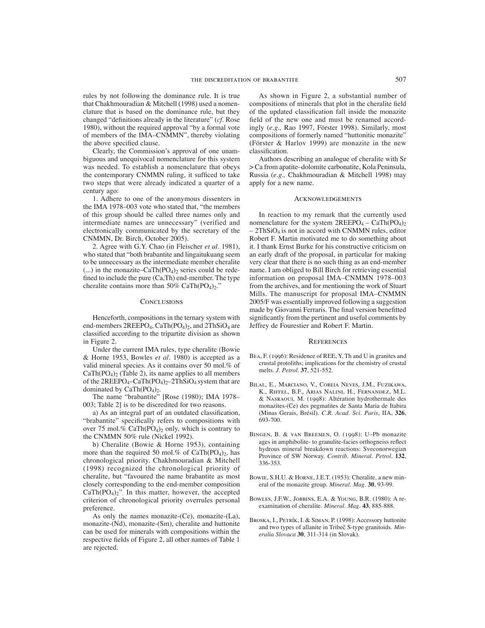rules by not following the dominance rule. It is true that Chakhmouradian & Mitchell (1998) used a nomenclature that is based on the dominance rule, but they changed "definitions already in the literature" (*cf.* Rose 1980), without the required approval "by a formal vote of members of the IMA–CNMMN", thereby violating the above specified clause.

Clearly, the Commission's approval of one unambiguous and unequivocal nomenclature for this system was needed. To establish a nomenclature that obeys the contemporary CNMMN ruling, it sufficed to take two steps that were already indicated a quarter of a century ago:

1. Adhere to one of the anonymous dissenters in the IMA 1978–003 vote who stated that, "the members of this group should be called three names only and intermediate names are unnecessary" (verified and electronically communicated by the secretary of the CNMMN, Dr. Birch, October 2005).

2. Agree with G.Y. Chao (in Fleischer *et al.* 1981), who stated that "both brabantite and lingaitukuang seem to be unnecessary as the intermediate member cheralite (...) in the monazite–CaTh $(PO<sub>4</sub>)<sub>2</sub>$  series could be redefined to include the pure  $(Ca, Th)$  end-member. The type cheralite contains more than  $50\%$  CaTh(PO<sub>4</sub>)<sub>2</sub>."

#### **CONCLUSIONS**

Henceforth, compositions in the ternary system with end-members  $2REEPO<sub>4</sub>$ ,  $CaTh(PO<sub>4</sub>)<sub>2</sub>$ , and  $2ThSiO<sub>4</sub>$  are classified according to the tripartite division as shown in Figure 2.

Under the current IMA rules, type cheralite (Bowie & Horne 1953, Bowles *et al.* 1980) is accepted as a valid mineral species. As it contains over 50 mol.% of  $CaTh(PO<sub>4</sub>)<sub>2</sub>$  (Table 2), its name applies to all members of the  $2REEPO_4-CaTh(PO_4)_2-2ThSiO_4$  system that are dominated by  $CaTh(PO<sub>4</sub>)<sub>2</sub>$ .

The name "brabantite" [Rose (1980); IMA 1978– 003; Table 2] is to be discredited for two reasons.

a) As an integral part of an outdated classification, "brabantite" specifically refers to compositions with over 75 mol.% CaTh $(PO_4)_2$  only, which is contrary to the CNMMN 50% rule (Nickel 1992).

b) Cheralite (Bowie & Horne 1953), containing more than the required 50 mol.% of  $CaTh(PO<sub>4</sub>)<sub>2</sub>$ , has chronological priority. Chakhmouradian & Mitchell (1998) recognized the chronological priority of cheralite, but "favoured the name brabantite as most closely corresponding to the end-member composition  $CaTh(PO<sub>4</sub>)<sub>2</sub>$ ". In this matter, however, the accepted criterion of chronological priority overrules personal preference.

As only the names monazite-(Ce), monazite-(La), monazite-(Nd), monazite-(Sm), cheralite and huttonite can be used for minerals with compositions within the respective fields of Figure 2, all other names of Table 1 are rejected.

As shown in Figure 2, a substantial number of compositions of minerals that plot in the cheralite field of the updated classification fall inside the monazite field of the new one and must be renamed accordingly (*e.g.,* Rao 1997, Förster 1998). Similarly, most compositions of formerly named "huttonitic monazite" (Förster & Harlov 1999) are monazite in the new classification.

Authors describing an analogue of cheralite with Sr > Ca from apatite–dolomite carbonatite, Kola Peninsula, Russia (*e.g.,* Chakhmouradian & Mitchell 1998) may apply for a new name.

#### **ACKNOWLEDGEMENTS**

In reaction to my remark that the currently used nomenclature for the system  $2REEPO_4 - CaTh(PO_4)_2$  $-2ThSiO<sub>4</sub>$  is not in accord with CNMMN rules, editor Robert F. Martin motivated me to do something about it. I thank Ernst Burke for his constructive criticism on an early draft of the proposal, in particular for making very clear that there is no such thing as an end-member name. I am obliged to Bill Birch for retrieving essential information on proposal IMA–CNMMN 1978–003 from the archives, and for mentioning the work of Stuart Mills. The manuscript for proposal IMA–CNMMN 2005/F was essentially improved following a suggestion made by Giovanni Ferraris. The final version benefitted significantly from the pertinent and useful comments by Jeffrey de Fourestier and Robert F. Martin.

#### **REFERENCES**

- BEA, F. (1996): Residence of REE, Y, Th and U in granites and crustal protoliths; implications for the chemistry of crustal melts. *J. Petrol.* **37**, 521-552.
- Bilal, E., Marciano, V., Coreia Neves, J.M., Fuzikawa, K., Riffel, B.F., Arias Nalini, H., Fernandez, M.L. & Nasraoui, M. (1998): Altération hydrothermale des monazites-(Ce) des pegmatites de Santa Maria de Itabira (Minas Gerais, Brésil). *C.R. Acad. Sci. Paris*, IIA, **326**, 693-700.
- Bingen, B. & van Breemen, O. (1998): U–Pb monazite ages in amphibolite- to granulite-facies orthogneiss reflect hydrous mineral breakdown reactions: Sveconorwegian Province of SW Norway. *Contrib. Mineral. Petrol.* **132**, 336-353.
- Bowie, S.H.U. & Horne, J.E.T. (1953): Cheralite, a new mineral of the monazite group. *Mineral. Mag.* **30**, 93-99.
- Bowles, J.F.W., Jobbins, E.A. & Young, B.R. (1980): A reexamination of cheralite. *Mineral. Mag.* **43**, 885-888.
- Broska, I., Petrík, I. & Siman, P. (1998): Accessory huttonite and two types of allanite in Tribeč S-type granitoids. *Mineralia Slovaca* **30**, 311-314 (in Slovak).